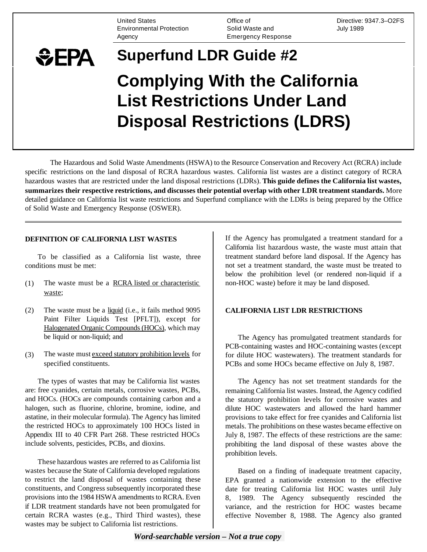United States Environmental Protection **Agency** 

Office of Solid Waste and Emergency Response

Directive: 9347.3–O2FS July 1989

# **Superfund LDR Guide #2**  *SEPA* **Complying With the California List Restrictions Under Land Disposal Restrictions (LDRS)**

The Hazardous and Solid Waste Amendments (HSWA) to the Resource Conservation and Recovery Act (RCRA) include specific restrictions on the land disposal of RCRA hazardous wastes. California list wastes are a distinct category of RCRA hazardous wastes that are restricted under the land disposal restrictions (LDRs). **This guide defines the California list wastes, summarizes their respective restrictions, and discusses their potential overlap with other LDR treatment standards.** More detailed guidance on California list waste restrictions and Superfund compliance with the LDRs is being prepared by the Office of Solid Waste and Emergency Response (OSWER).

### **DEFINITION OF CALIFORNIA LIST WASTES**

To be classified as a California list waste, three conditions must be met:

- (1) The waste must be a RCRA listed or characteristic waste;
- (2) The waste must be a liquid (i.e., it fails method 9095 Paint Filter Liquids Test [PFLT]), except for Halogenated Organic Compounds (HOCs), which may be liquid or non-liquid; and
- (3) The waste must exceed statutory prohibition levels for specified constituents.

The types of wastes that may be California list wastes are: free cyanides, certain metals, corrosive wastes, PCBs, and HOCs. (HOCs are compounds containing carbon and a halogen, such as fluorine, chlorine, bromine, iodine, and astatine, in their molecular formula). The Agency has limited the restricted HOCs to approximately 100 HOCs listed in Appendix III to 40 CFR Part 268. These restricted HOCs include solvents, pesticides, PCBs, and dioxins.

These hazardous wastes are referred to as California list wastes because the State of California developed regulations to restrict the land disposal of wastes containing these constituents, and Congress subsequently incorporated these provisions into the 1984 HSWA amendments to RCRA. Even if LDR treatment standards have not been promulgated for certain RCRA wastes (e.g., Third Third wastes), these wastes may be subject to California list restrictions.

If the Agency has promulgated a treatment standard for a California list hazardous waste, the waste must attain that treatment standard before land disposal. If the Agency has not set a treatment standard, the waste must be treated to below the prohibition level (or rendered non-liquid if a non-HOC waste) before it may be land disposed.

#### **CALIFORNIA LIST LDR RESTRICTIONS**

The Agency has promulgated treatment standards for PCB-containing wastes and HOC-containing wastes (except for dilute HOC wastewaters). The treatment standards for PCBs and some HOCs became effective on July 8, 1987.

The Agency has not set treatment standards for the remaining California list wastes. Instead, the Agency codified the statutory prohibition levels for corrosive wastes and dilute HOC wastewaters and allowed the hard hammer provisions to take effect for free cyanides and California list metals. The prohibitions on these wastes became effective on July 8, 1987. The effects of these restrictions are the same: prohibiting the land disposal of these wastes above the prohibition levels.

Based on a finding of inadequate treatment capacity, EPA granted a nationwide extension to the effective date for treating California list HOC wastes until July 8, 1989. The Agency subsequently rescinded the variance, and the restriction for HOC wastes became effective November 8, 1988. The Agency also granted